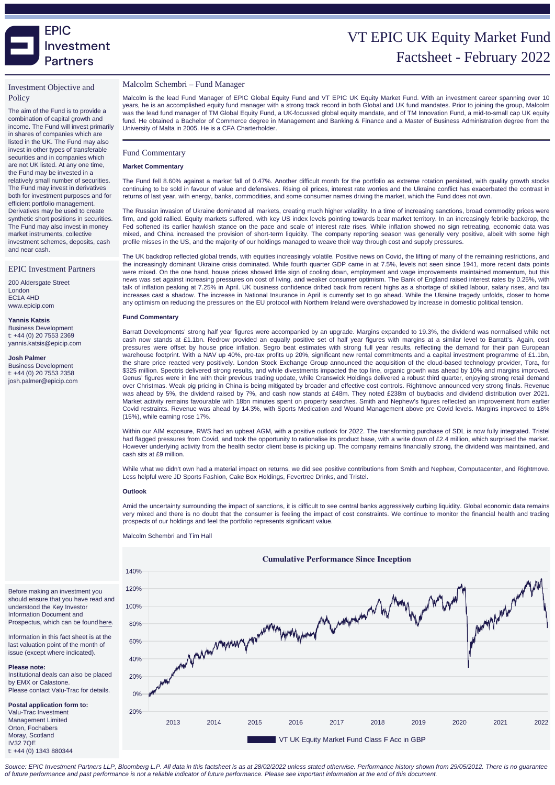# VT EPIC UK Equity Market Fund Factsheet - February 20

### Investment Objective and **Policy**

The aim of the Fund is to provide a combination of capital growth and income. The Fund will invest primarily in shares of companies which are listed in the UK. The Fund may also invest in other types of transferable securities and in companies which are not UK listed. At any one time, the Fund may be invested in a relatively small number of securities. The Fund may invest in derivatives both for investment purposes and for efficient portfolio management. Derivatives may be used to create synthetic short positions in securities. The Fund may also invest in money market instruments, collective investment schemes, deposits, cash and near cash.

#### EPIC Investment Partners

200 Aldersgate Street London EC1A 4HD www.epicip.com

Yannis Katsis Business Development t: +44 (0) 20 7553 2369 yannis.katsis@epicip.com

Josh Palmer Business Development t: +44 (0) 20 7553 2358 josh.palmer@epicip.com

#### Malcolm Schembri – Fund Manager

Malcolm is the lead Fund Manager of EPIC Global Equity Fund and VT EPIC UK Equity Market Fund. With an investment career spanning over 10 years, he is an accomplished equity fund manager with a strong track record in both Global and UK fund mandates. Prior to joining the group, Malcolm was the lead fund manager of TM Global Equity Fund, a UK-focussed global equity mandate, and of TM Innovation Fund, a mid-to-small cap UK equity fund. He obtained a Bachelor of Commerce degree in Management and Banking & Finance and a Master of Business Administration degree from the University of Malta in 2005. He is a CFA Charterholder.

### Fund Commentary

#### Market Commentary

The Fund fell 8.60% against a market fall of 0.47%. Another difficult month for the portfolio as extreme rotation persisted, with quality growth stocks continuing to be sold in favour of value and defensives. Rising oil prices, interest rate worries and the Ukraine conflict has exacerbated the contrast in returns of last year, with energy, banks, commodities, and some consumer names driving the market, which the Fund does not own.

The Russian invasion of Ukraine dominated all markets, creating much higher volatility. In a time of increasing sanctions, broad commodity prices were firm, and gold rallied. Equity markets suffered, with key US index levels pointing towards bear market territory. In an increasingly febrile backdrop, the Fed softened its earlier hawkish stance on the pace and scale of interest rate rises. While inflation showed no sign retreating, economic data was mixed, and China increased the provision of short-term liquidity. The company reporting season was generally very positive, albeit with some high profile misses in the US, and the majority of our holdings managed to weave their way through cost and supply pressures.

The UK backdrop reflected global trends, with equities increasingly volatile. Positive news on Covid, the lifting of many of the remaining restrictions, and the increasingly dominant Ukraine crisis dominated. While fourth quarter GDP came in at 7.5%, levels not seen since 1941, more recent data points were mixed. On the one hand, house prices showed little sign of cooling down, employment and wage improvements maintained momentum, but this news was set against increasing pressures on cost of living, and weaker consumer optimism. The Bank of England raised interest rates by 0.25%, with talk of inflation peaking at 7.25% in April. UK business confidence drifted back from recent highs as a shortage of skilled labour, salary rises, and tax increases cast a shadow. The increase in National Insurance in April is currently set to go ahead. While the Ukraine tragedy unfolds, closer to home any optimism on reducing the pressures on the EU protocol with Northern Ireland were overshadowed by increase in domestic political tension.

#### Fund Commentary

Barratt Developments' strong half year figures were accompanied by an upgrade. Margins expanded to 19.3%, the dividend was normalised while net cash now stands at £1.1bn. Redrow provided an equally positive set of half year figures with margins at a similar level to Barratt's. Again, cost pressures were offset by house price inflation. Segro beat estimates with strong full year results, reflecting the demand for their pan European warehouse footprint. With a NAV up 40%, pre-tax profits up 20%, significant new rental commitments and a capital investment programme of £1.1bn, the share price reacted very positively. London Stock Exchange Group announced the acquisition of the cloud-based technology provider, Tora, for \$325 million. Spectris delivered strong results, and while divestments impacted the top line, organic growth was ahead by 10% and margins improved. Genus' figures were in line with their previous trading update, while Cranswick Holdings delivered a robust third quarter, enjoying strong retail demand over Christmas. Weak pig pricing in China is being mitigated by broader and effective cost controls. Rightmove announced very strong finals. Revenue was ahead by 5%, the dividend raised by 7%, and cash now stands at £48m. They noted £238m of buybacks and dividend distribution over 2021. Market activity remains favourable with 18bn minutes spent on property searches. Smith and Nephew's figures reflected an improvement from earlier Covid restraints. Revenue was ahead by 14.3%, with Sports Medication and Wound Management above pre Covid levels. Margins improved to 18% (15%), while earning rose 17%.

Within our AIM exposure, RWS had an upbeat AGM, with a positive outlook for 2022. The transforming purchase of SDL is now fully integrated. Tristel had flagged pressures from Covid, and took the opportunity to rationalise its product base, with a write down of £2.4 million, which surprised the market. However underlying activity from the health sector client base is picking up. The company remains financially strong, the dividend was maintained, and cash sits at £9 million.

While what we didn't own had a material impact on returns, we did see positive contributions from Smith and Nephew, Computacenter, and Rightmove. Less helpful were JD Sports Fashion, Cake Box Holdings, Fevertree Drinks, and Tristel.

#### **Outlook**

Amid the uncertainty surrounding the impact of sanctions, it is difficult to see central banks aggressively curbing liquidity. Global economic data remains very mixed and there is no doubt that the consumer is feeling the impact of cost constraints. We continue to monitor the financial health and trading prospects of our holdings and feel the portfolio represents significant value.

Malcolm Schembri and Tim Hall

Before making an investment you should ensure that you have read and understood the Key Investor Information Document and Prospectus, which can be found [here.](https://www.epicip.com/markets/EpicUKEquityMarketFund)

Information in this fact sheet is at the last valuation point of the month of issue (except where indicated).

Please note: Institutional deals can also be placed by EMX or Calastone. Please contact Valu-Trac for details.

Postal application form to: Valu-Trac Investment Management Limited Orton, Fochabers Moray, Scotland IV32 7QE t: +44 (0) 1343 880344

Source: EPIC Investment Partners LLP, Bloomberg L.P. All data in this factsheet is as at 28/02/2022 unless stated otherwise. Performance history shown from 29/05/2012. There is no guarantee of future performance and past performance is not a reliable indicator of future performance. Please see important information at the end of this document.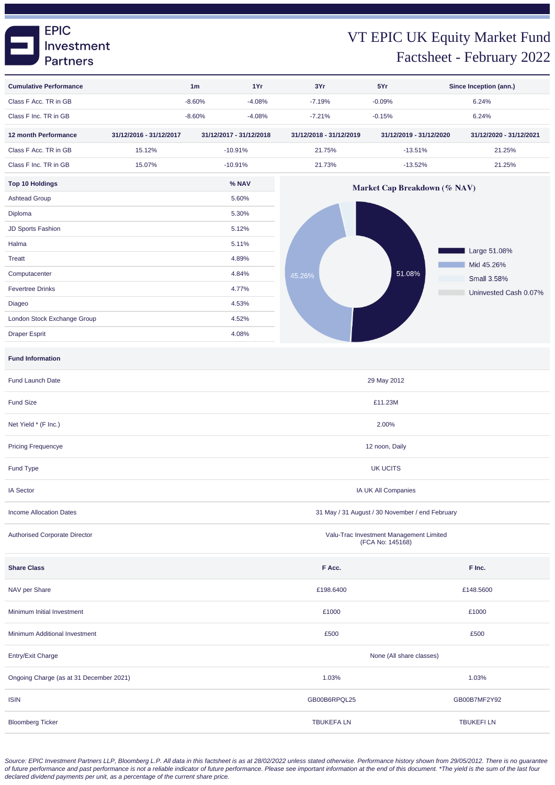### **EPIC** Investment **Partners**

# VT EPIC UK Equity Market Fund Factsheet - February 2022

| <b>Cumulative Performance</b>           |                         | 1Yr<br>1 <sub>m</sub>                                       |                                                 | 3Yr                          | 5Yr                     | Since Inception (ann.)     |  |  |  |  |
|-----------------------------------------|-------------------------|-------------------------------------------------------------|-------------------------------------------------|------------------------------|-------------------------|----------------------------|--|--|--|--|
| Class F Acc. TR in GB                   |                         | $-8.60%$<br>$-4.08%$                                        |                                                 | $-7.19%$                     | $-0.09%$                | 6.24%                      |  |  |  |  |
| Class F Inc. TR in GB                   |                         | $-8.60%$<br>$-4.08%$                                        |                                                 | $-7.21%$                     | $-0.15%$                | 6.24%                      |  |  |  |  |
| 12 month Performance                    | 31/12/2016 - 31/12/2017 | 31/12/2017 - 31/12/2018                                     |                                                 | 31/12/2018 - 31/12/2019      | 31/12/2019 - 31/12/2020 | 31/12/2020 - 31/12/2021    |  |  |  |  |
| Class F Acc. TR in GB                   | 15.12%                  | $-10.91%$                                                   |                                                 | 21.75%                       | $-13.51%$               | 21.25%                     |  |  |  |  |
| Class F Inc. TR in GB                   | 15.07%                  | $-10.91%$                                                   |                                                 | 21.73%                       | $-13.52%$               | 21.25%                     |  |  |  |  |
| <b>Top 10 Holdings</b>                  |                         | % NAV                                                       |                                                 | Market Cap Breakdown (% NAV) |                         |                            |  |  |  |  |
| <b>Ashtead Group</b>                    |                         | 5.60%                                                       |                                                 |                              |                         |                            |  |  |  |  |
| Diploma                                 |                         |                                                             | 5.30%                                           |                              |                         |                            |  |  |  |  |
| JD Sports Fashion                       |                         |                                                             | 5.12%                                           |                              |                         |                            |  |  |  |  |
| Halma                                   |                         |                                                             | 5.11%                                           |                              |                         |                            |  |  |  |  |
| <b>Treatt</b>                           |                         |                                                             | 4.89%                                           |                              |                         | Large 51.08%<br>Mid 45.26% |  |  |  |  |
| Computacenter                           |                         |                                                             | 4.84%                                           | 45.26%                       | 51.08%                  | <b>Small 3.58%</b>         |  |  |  |  |
| <b>Fevertree Drinks</b>                 |                         |                                                             | 4.77%                                           |                              |                         | Uninvested Cash 0.07%      |  |  |  |  |
| Diageo                                  |                         |                                                             | 4.53%                                           |                              |                         |                            |  |  |  |  |
| London Stock Exchange Group             |                         |                                                             | 4.52%                                           |                              |                         |                            |  |  |  |  |
| <b>Draper Esprit</b>                    |                         |                                                             | 4.08%                                           |                              |                         |                            |  |  |  |  |
| <b>Fund Information</b>                 |                         |                                                             |                                                 |                              |                         |                            |  |  |  |  |
| Fund Launch Date                        |                         | 29 May 2012                                                 |                                                 |                              |                         |                            |  |  |  |  |
| <b>Fund Size</b>                        |                         | £11.23M                                                     |                                                 |                              |                         |                            |  |  |  |  |
| Net Yield * (F Inc.)                    |                         |                                                             | 2.00%                                           |                              |                         |                            |  |  |  |  |
| <b>Pricing Frequencye</b>               |                         |                                                             |                                                 | 12 noon, Daily               |                         |                            |  |  |  |  |
| Fund Type                               |                         |                                                             |                                                 | <b>UK UCITS</b>              |                         |                            |  |  |  |  |
| <b>IA Sector</b>                        |                         |                                                             | IA UK All Companies                             |                              |                         |                            |  |  |  |  |
| <b>Income Allocation Dates</b>          |                         |                                                             | 31 May / 31 August / 30 November / end February |                              |                         |                            |  |  |  |  |
| <b>Authorised Corporate Director</b>    |                         | Valu-Trac Investment Management Limited<br>(FCA No: 145168) |                                                 |                              |                         |                            |  |  |  |  |
| <b>Share Class</b>                      |                         |                                                             |                                                 | F Acc.                       |                         | F Inc.                     |  |  |  |  |
| NAV per Share                           |                         |                                                             |                                                 | £198.6400                    |                         | £148.5600                  |  |  |  |  |
| Minimum Initial Investment              |                         |                                                             |                                                 | £1000                        |                         | £1000                      |  |  |  |  |
| Minimum Additional Investment           |                         |                                                             |                                                 | £500                         |                         | £500                       |  |  |  |  |
| Entry/Exit Charge                       |                         |                                                             |                                                 | None (All share classes)     |                         |                            |  |  |  |  |
| Ongoing Charge (as at 31 December 2021) |                         |                                                             |                                                 | 1.03%                        | 1.03%                   |                            |  |  |  |  |
| <b>ISIN</b>                             |                         |                                                             |                                                 | GB00B6RPQL25                 |                         | GB00B7MF2Y92               |  |  |  |  |
| <b>Bloomberg Ticker</b>                 |                         |                                                             |                                                 | <b>TBUKEFALN</b>             |                         | <b>TBUKEFILN</b>           |  |  |  |  |

Source: EPIC Investment Partners LLP, Bloomberg L.P. All data in this factsheet is as at 28/02/2022 unless stated otherwise. Performance history shown from 29/05/2012. There is no guarantee of future performance and past performance is not a reliable indicator of future performance. Please see important information at the end of this document. \*The yield is the sum of the last four declared dividend payments per unit, as a percentage of the current share price.